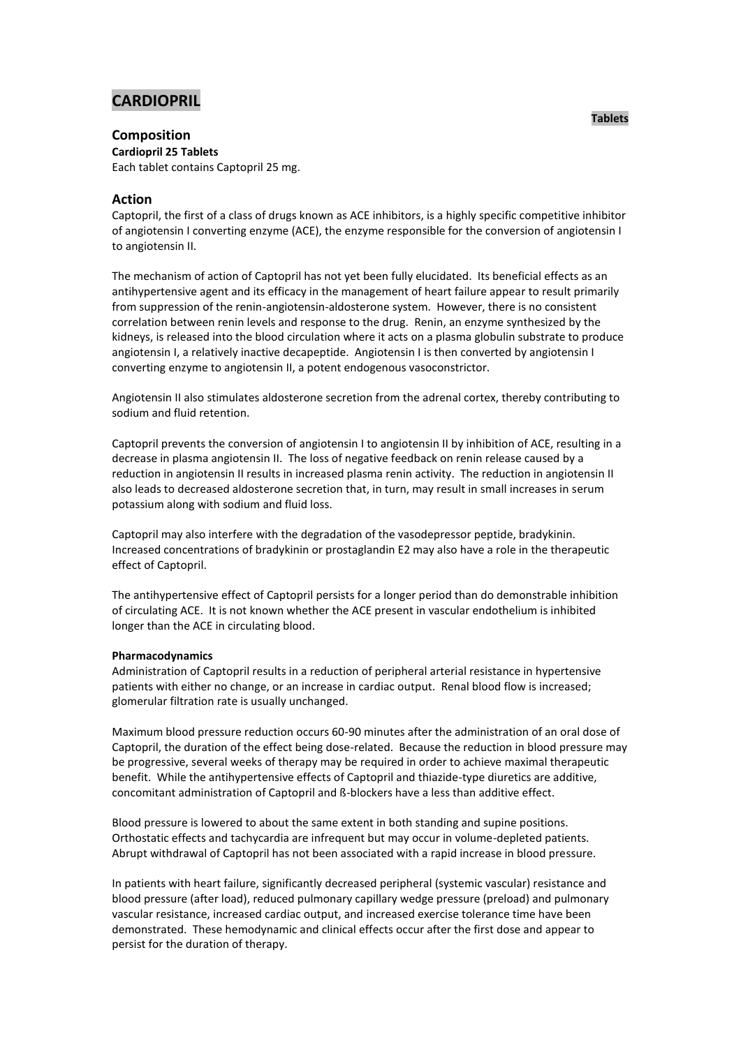# **CARDIOPRIL**

# **Composition**

**Cardiopril 25 Tablets** Each tablet contains Captopril 25 mg.

# **Action**

Captopril, the first of a class of drugs known as ACE inhibitors, is a highly specific competitive inhibitor of angiotensin I converting enzyme (ACE), the enzyme responsible for the conversion of angiotensin I to angiotensin II.

The mechanism of action of Captopril has not yet been fully elucidated. Its beneficial effects as an antihypertensive agent and its efficacy in the management of heart failure appear to result primarily from suppression of the renin-angiotensin-aldosterone system. However, there is no consistent correlation between renin levels and response to the drug. Renin, an enzyme synthesized by the kidneys, is released into the blood circulation where it acts on a plasma globulin substrate to produce angiotensin I, a relatively inactive decapeptide. Angiotensin I is then converted by angiotensin I converting enzyme to angiotensin II, a potent endogenous vasoconstrictor.

Angiotensin II also stimulates aldosterone secretion from the adrenal cortex, thereby contributing to sodium and fluid retention.

Captopril prevents the conversion of angiotensin I to angiotensin II by inhibition of ACE, resulting in a decrease in plasma angiotensin II. The loss of negative feedback on renin release caused by a reduction in angiotensin II results in increased plasma renin activity. The reduction in angiotensin II also leads to decreased aldosterone secretion that, in turn, may result in small increases in serum potassium along with sodium and fluid loss.

Captopril may also interfere with the degradation of the vasodepressor peptide, bradykinin. Increased concentrations of bradykinin or prostaglandin E2 may also have a role in the therapeutic effect of Captopril.

The antihypertensive effect of Captopril persists for a longer period than do demonstrable inhibition of circulating ACE. It is not known whether the ACE present in vascular endothelium is inhibited longer than the ACE in circulating blood.

### **Pharmacodynamics**

Administration of Captopril results in a reduction of peripheral arterial resistance in hypertensive patients with either no change, or an increase in cardiac output. Renal blood flow is increased; glomerular filtration rate is usually unchanged.

Maximum blood pressure reduction occurs 60-90 minutes after the administration of an oral dose of Captopril, the duration of the effect being dose-related. Because the reduction in blood pressure may be progressive, several weeks of therapy may be required in order to achieve maximal therapeutic benefit. While the antihypertensive effects of Captopril and thiazide-type diuretics are additive, concomitant administration of Captopril and ß-blockers have a less than additive effect.

Blood pressure is lowered to about the same extent in both standing and supine positions. Orthostatic effects and tachycardia are infrequent but may occur in volume-depleted patients. Abrupt withdrawal of Captopril has not been associated with a rapid increase in blood pressure.

In patients with heart failure, significantly decreased peripheral (systemic vascular) resistance and blood pressure (after load), reduced pulmonary capillary wedge pressure (preload) and pulmonary vascular resistance, increased cardiac output, and increased exercise tolerance time have been demonstrated. These hemodynamic and clinical effects occur after the first dose and appear to persist for the duration of therapy.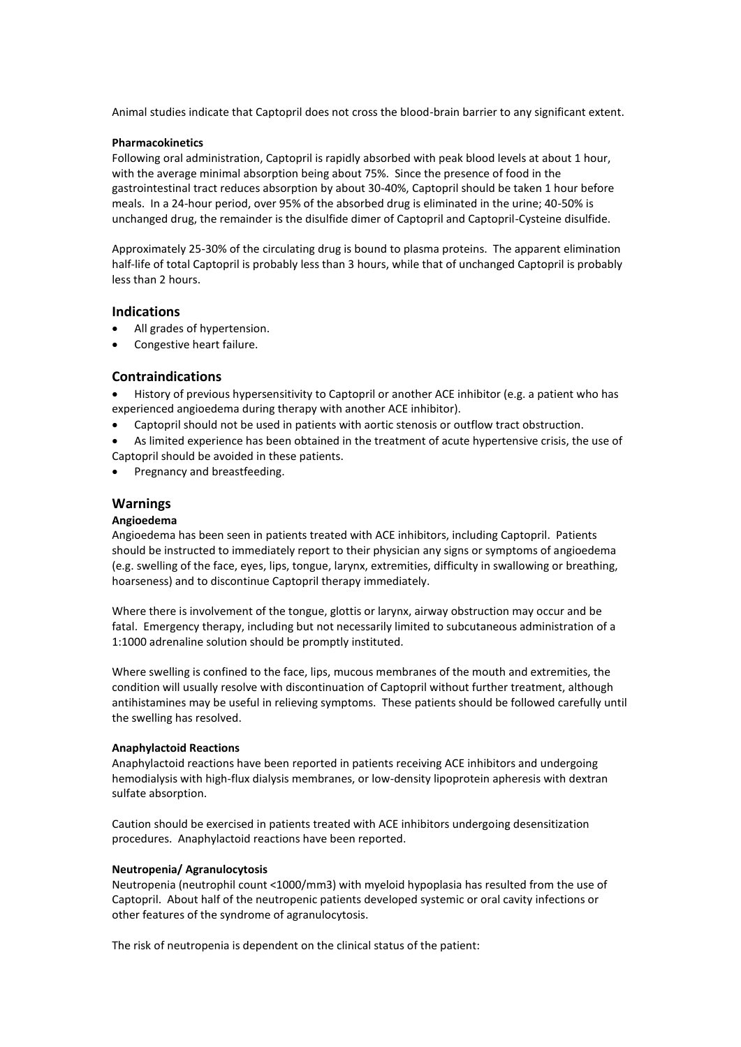Animal studies indicate that Captopril does not cross the blood-brain barrier to any significant extent.

### **Pharmacokinetics**

Following oral administration, Captopril is rapidly absorbed with peak blood levels at about 1 hour, with the average minimal absorption being about 75%. Since the presence of food in the gastrointestinal tract reduces absorption by about 30-40%, Captopril should be taken 1 hour before meals. In a 24-hour period, over 95% of the absorbed drug is eliminated in the urine; 40-50% is unchanged drug, the remainder is the disulfide dimer of Captopril and Captopril-Cysteine disulfide.

Approximately 25-30% of the circulating drug is bound to plasma proteins. The apparent elimination half-life of total Captopril is probably less than 3 hours, while that of unchanged Captopril is probably less than 2 hours.

# **Indications**

- All grades of hypertension.
- Congestive heart failure.

# **Contraindications**

- History of previous hypersensitivity to Captopril or another ACE inhibitor (e.g. a patient who has experienced angioedema during therapy with another ACE inhibitor).
- Captopril should not be used in patients with aortic stenosis or outflow tract obstruction.
- As limited experience has been obtained in the treatment of acute hypertensive crisis, the use of Captopril should be avoided in these patients.
- Pregnancy and breastfeeding.

# **Warnings**

### **Angioedema**

Angioedema has been seen in patients treated with ACE inhibitors, including Captopril. Patients should be instructed to immediately report to their physician any signs or symptoms of angioedema (e.g. swelling of the face, eyes, lips, tongue, larynx, extremities, difficulty in swallowing or breathing, hoarseness) and to discontinue Captopril therapy immediately.

Where there is involvement of the tongue, glottis or larynx, airway obstruction may occur and be fatal. Emergency therapy, including but not necessarily limited to subcutaneous administration of a 1:1000 adrenaline solution should be promptly instituted.

Where swelling is confined to the face, lips, mucous membranes of the mouth and extremities, the condition will usually resolve with discontinuation of Captopril without further treatment, although antihistamines may be useful in relieving symptoms. These patients should be followed carefully until the swelling has resolved.

#### **Anaphylactoid Reactions**

Anaphylactoid reactions have been reported in patients receiving ACE inhibitors and undergoing hemodialysis with high-flux dialysis membranes, or low-density lipoprotein apheresis with dextran sulfate absorption.

Caution should be exercised in patients treated with ACE inhibitors undergoing desensitization procedures. Anaphylactoid reactions have been reported.

### **Neutropenia/ Agranulocytosis**

Neutropenia (neutrophil count <1000/mm3) with myeloid hypoplasia has resulted from the use of Captopril. About half of the neutropenic patients developed systemic or oral cavity infections or other features of the syndrome of agranulocytosis.

The risk of neutropenia is dependent on the clinical status of the patient: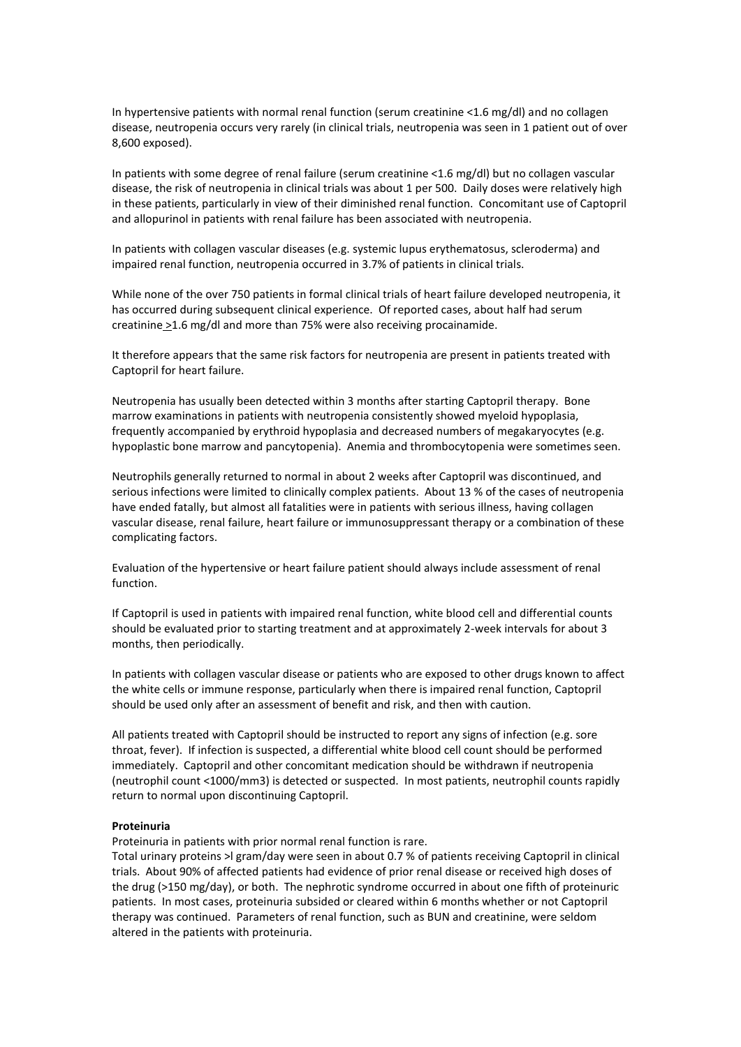In hypertensive patients with normal renal function (serum creatinine <1.6 mg/dl) and no collagen disease, neutropenia occurs very rarely (in clinical trials, neutropenia was seen in 1 patient out of over 8,600 exposed).

In patients with some degree of renal failure (serum creatinine <1.6 mg/dl) but no collagen vascular disease, the risk of neutropenia in clinical trials was about 1 per 500. Daily doses were relatively high in these patients, particularly in view of their diminished renal function. Concomitant use of Captopril and allopurinol in patients with renal failure has been associated with neutropenia.

In patients with collagen vascular diseases (e.g. systemic lupus erythematosus, scleroderma) and impaired renal function, neutropenia occurred in 3.7% of patients in clinical trials.

While none of the over 750 patients in formal clinical trials of heart failure developed neutropenia, it has occurred during subsequent clinical experience. Of reported cases, about half had serum creatinine >1.6 mg/dl and more than 75% were also receiving procainamide.

It therefore appears that the same risk factors for neutropenia are present in patients treated with Captopril for heart failure.

Neutropenia has usually been detected within 3 months after starting Captopril therapy. Bone marrow examinations in patients with neutropenia consistently showed myeloid hypoplasia, frequently accompanied by erythroid hypoplasia and decreased numbers of megakaryocytes (e.g. hypoplastic bone marrow and pancytopenia). Anemia and thrombocytopenia were sometimes seen.

Neutrophils generally returned to normal in about 2 weeks after Captopril was discontinued, and serious infections were limited to clinically complex patients. About 13 % of the cases of neutropenia have ended fatally, but almost all fatalities were in patients with serious illness, having collagen vascular disease, renal failure, heart failure or immunosuppressant therapy or a combination of these complicating factors.

Evaluation of the hypertensive or heart failure patient should always include assessment of renal function.

If Captopril is used in patients with impaired renal function, white blood cell and differential counts should be evaluated prior to starting treatment and at approximately 2-week intervals for about 3 months, then periodically.

In patients with collagen vascular disease or patients who are exposed to other drugs known to affect the white cells or immune response, particularly when there is impaired renal function, Captopril should be used only after an assessment of benefit and risk, and then with caution.

All patients treated with Captopril should be instructed to report any signs of infection (e.g. sore throat, fever). If infection is suspected, a differential white blood cell count should be performed immediately. Captopril and other concomitant medication should be withdrawn if neutropenia (neutrophil count <1000/mm3) is detected or suspected. In most patients, neutrophil counts rapidly return to normal upon discontinuing Captopril.

### **Proteinuria**

Proteinuria in patients with prior normal renal function is rare.

Total urinary proteins >l gram/day were seen in about 0.7 % of patients receiving Captopril in clinical trials. About 90% of affected patients had evidence of prior renal disease or received high doses of the drug (>150 mg/day), or both. The nephrotic syndrome occurred in about one fifth of proteinuric patients. In most cases, proteinuria subsided or cleared within 6 months whether or not Captopril therapy was continued. Parameters of renal function, such as BUN and creatinine, were seldom altered in the patients with proteinuria.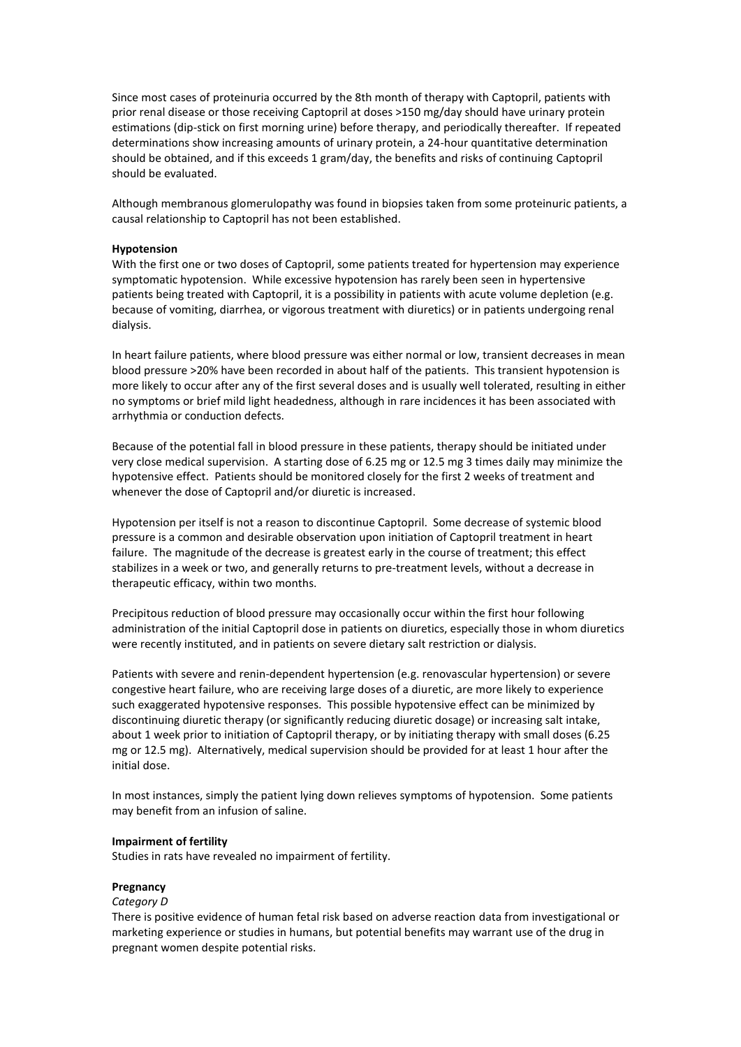Since most cases of proteinuria occurred by the 8th month of therapy with Captopril, patients with prior renal disease or those receiving Captopril at doses >150 mg/day should have urinary protein estimations (dip-stick on first morning urine) before therapy, and periodically thereafter. If repeated determinations show increasing amounts of urinary protein, a 24-hour quantitative determination should be obtained, and if this exceeds 1 gram/day, the benefits and risks of continuing Captopril should be evaluated.

Although membranous glomerulopathy was found in biopsies taken from some proteinuric patients, a causal relationship to Captopril has not been established.

#### **Hypotension**

With the first one or two doses of Captopril, some patients treated for hypertension may experience symptomatic hypotension. While excessive hypotension has rarely been seen in hypertensive patients being treated with Captopril, it is a possibility in patients with acute volume depletion (e.g. because of vomiting, diarrhea, or vigorous treatment with diuretics) or in patients undergoing renal dialysis.

In heart failure patients, where blood pressure was either normal or low, transient decreases in mean blood pressure >20% have been recorded in about half of the patients. This transient hypotension is more likely to occur after any of the first several doses and is usually well tolerated, resulting in either no symptoms or brief mild light headedness, although in rare incidences it has been associated with arrhythmia or conduction defects.

Because of the potential fall in blood pressure in these patients, therapy should be initiated under very close medical supervision. A starting dose of 6.25 mg or 12.5 mg 3 times daily may minimize the hypotensive effect. Patients should be monitored closely for the first 2 weeks of treatment and whenever the dose of Captopril and/or diuretic is increased.

Hypotension per itself is not a reason to discontinue Captopril. Some decrease of systemic blood pressure is a common and desirable observation upon initiation of Captopril treatment in heart failure. The magnitude of the decrease is greatest early in the course of treatment; this effect stabilizes in a week or two, and generally returns to pre-treatment levels, without a decrease in therapeutic efficacy, within two months.

Precipitous reduction of blood pressure may occasionally occur within the first hour following administration of the initial Captopril dose in patients on diuretics, especially those in whom diuretics were recently instituted, and in patients on severe dietary salt restriction or dialysis.

Patients with severe and renin-dependent hypertension (e.g. renovascular hypertension) or severe congestive heart failure, who are receiving large doses of a diuretic, are more likely to experience such exaggerated hypotensive responses. This possible hypotensive effect can be minimized by discontinuing diuretic therapy (or significantly reducing diuretic dosage) or increasing salt intake, about 1 week prior to initiation of Captopril therapy, or by initiating therapy with small doses (6.25 mg or 12.5 mg). Alternatively, medical supervision should be provided for at least 1 hour after the initial dose.

In most instances, simply the patient lying down relieves symptoms of hypotension. Some patients may benefit from an infusion of saline.

#### **Impairment of fertility**

Studies in rats have revealed no impairment of fertility.

#### **Pregnancy**

#### *Category D*

There is positive evidence of human fetal risk based on adverse reaction data from investigational or marketing experience or studies in humans, but potential benefits may warrant use of the drug in pregnant women despite potential risks.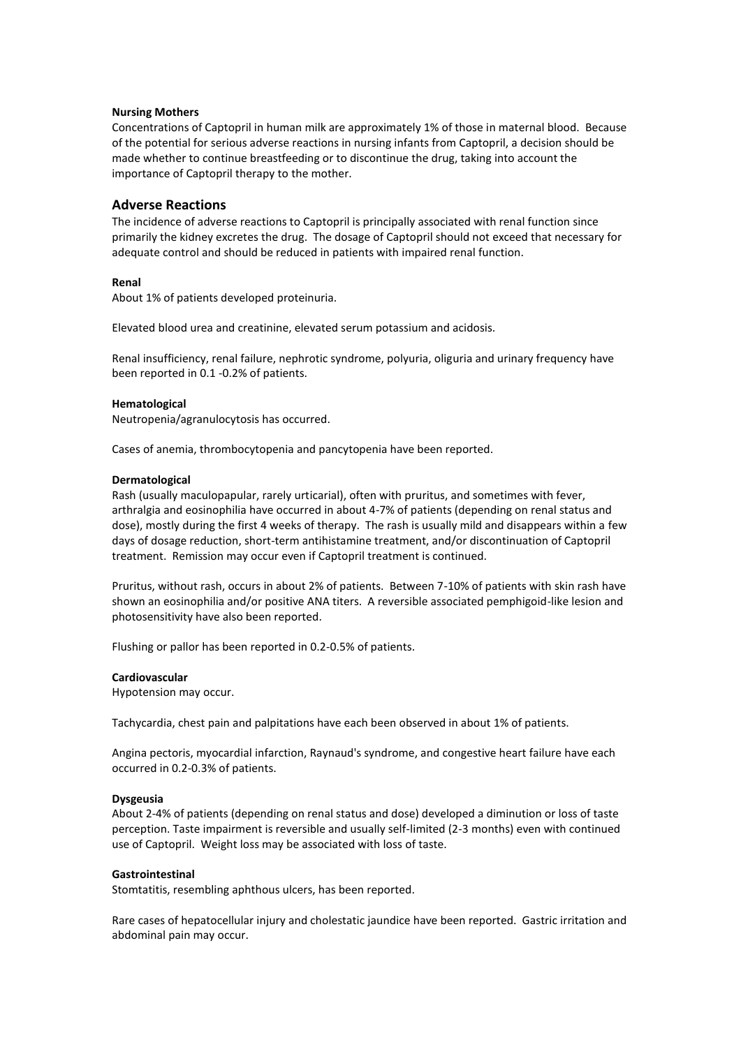### **Nursing Mothers**

Concentrations of Captopril in human milk are approximately 1% of those in maternal blood. Because of the potential for serious adverse reactions in nursing infants from Captopril, a decision should be made whether to continue breastfeeding or to discontinue the drug, taking into account the importance of Captopril therapy to the mother.

### **Adverse Reactions**

The incidence of adverse reactions to Captopril is principally associated with renal function since primarily the kidney excretes the drug. The dosage of Captopril should not exceed that necessary for adequate control and should be reduced in patients with impaired renal function.

### **Renal**

About 1% of patients developed proteinuria.

Elevated blood urea and creatinine, elevated serum potassium and acidosis.

Renal insufficiency, renal failure, nephrotic syndrome, polyuria, oliguria and urinary frequency have been reported in 0.1 -0.2% of patients.

#### **Hematological**

Neutropenia/agranulocytosis has occurred.

Cases of anemia, thrombocytopenia and pancytopenia have been reported.

#### **Dermatological**

Rash (usually maculopapular, rarely urticarial), often with pruritus, and sometimes with fever, arthralgia and eosinophilia have occurred in about 4-7% of patients (depending on renal status and dose), mostly during the first 4 weeks of therapy. The rash is usually mild and disappears within a few days of dosage reduction, short-term antihistamine treatment, and/or discontinuation of Captopril treatment. Remission may occur even if Captopril treatment is continued.

Pruritus, without rash, occurs in about 2% of patients. Between 7-10% of patients with skin rash have shown an eosinophilia and/or positive ANA titers. A reversible associated pemphigoid-like lesion and photosensitivity have also been reported.

Flushing or pallor has been reported in 0.2-0.5% of patients.

#### **Cardiovascular**

Hypotension may occur.

Tachycardia, chest pain and palpitations have each been observed in about 1% of patients.

Angina pectoris, myocardial infarction, Raynaud's syndrome, and congestive heart failure have each occurred in 0.2-0.3% of patients.

#### **Dysgeusia**

About 2-4% of patients (depending on renal status and dose) developed a diminution or loss of taste perception. Taste impairment is reversible and usually self-limited (2-3 months) even with continued use of Captopril. Weight loss may be associated with loss of taste.

#### **Gastrointestinal**

Stomtatitis, resembling aphthous ulcers, has been reported.

Rare cases of hepatocellular injury and cholestatic jaundice have been reported. Gastric irritation and abdominal pain may occur.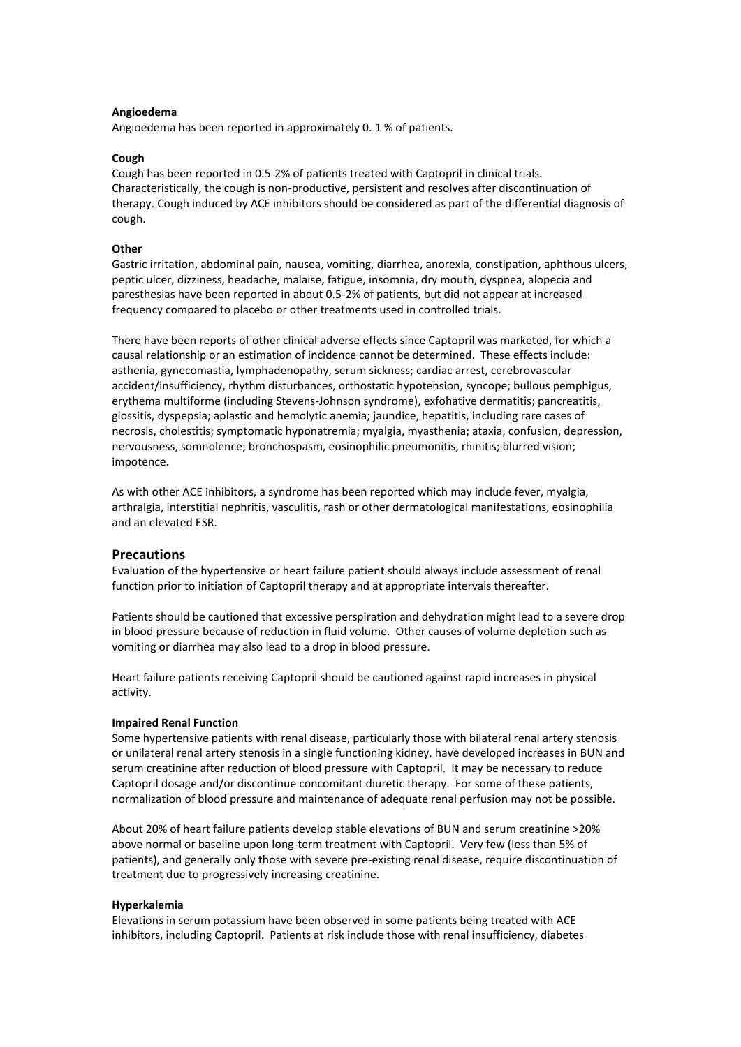#### **Angioedema**

Angioedema has been reported in approximately 0. 1 % of patients.

#### **Cough**

Cough has been reported in 0.5-2% of patients treated with Captopril in clinical trials. Characteristically, the cough is non-productive, persistent and resolves after discontinuation of therapy. Cough induced by ACE inhibitors should be considered as part of the differential diagnosis of cough.

### **Other**

Gastric irritation, abdominal pain, nausea, vomiting, diarrhea, anorexia, constipation, aphthous ulcers, peptic ulcer, dizziness, headache, malaise, fatigue, insomnia, dry mouth, dyspnea, alopecia and paresthesias have been reported in about 0.5-2% of patients, but did not appear at increased frequency compared to placebo or other treatments used in controlled trials.

There have been reports of other clinical adverse effects since Captopril was marketed, for which a causal relationship or an estimation of incidence cannot be determined. These effects include: asthenia, gynecomastia, lymphadenopathy, serum sickness; cardiac arrest, cerebrovascular accident/insufficiency, rhythm disturbances, orthostatic hypotension, syncope; bullous pemphigus, erythema multiforme (including Stevens-Johnson syndrome), exfohative dermatitis; pancreatitis, glossitis, dyspepsia; aplastic and hemolytic anemia; jaundice, hepatitis, including rare cases of necrosis, cholestitis; symptomatic hyponatremia; myalgia, myasthenia; ataxia, confusion, depression, nervousness, somnolence; bronchospasm, eosinophilic pneumonitis, rhinitis; blurred vision; impotence.

As with other ACE inhibitors, a syndrome has been reported which may include fever, myalgia, arthralgia, interstitial nephritis, vasculitis, rash or other dermatological manifestations, eosinophilia and an elevated ESR.

### **Precautions**

Evaluation of the hypertensive or heart failure patient should always include assessment of renal function prior to initiation of Captopril therapy and at appropriate intervals thereafter.

Patients should be cautioned that excessive perspiration and dehydration might lead to a severe drop in blood pressure because of reduction in fluid volume. Other causes of volume depletion such as vomiting or diarrhea may also lead to a drop in blood pressure.

Heart failure patients receiving Captopril should be cautioned against rapid increases in physical activity.

#### **Impaired Renal Function**

Some hypertensive patients with renal disease, particularly those with bilateral renal artery stenosis or unilateral renal artery stenosis in a single functioning kidney, have developed increases in BUN and serum creatinine after reduction of blood pressure with Captopril. It may be necessary to reduce Captopril dosage and/or discontinue concomitant diuretic therapy. For some of these patients, normalization of blood pressure and maintenance of adequate renal perfusion may not be possible.

About 20% of heart failure patients develop stable elevations of BUN and serum creatinine >20% above normal or baseline upon long-term treatment with Captopril. Very few (less than 5% of patients), and generally only those with severe pre-existing renal disease, require discontinuation of treatment due to progressively increasing creatinine.

#### **Hyperkalemia**

Elevations in serum potassium have been observed in some patients being treated with ACE inhibitors, including Captopril. Patients at risk include those with renal insufficiency, diabetes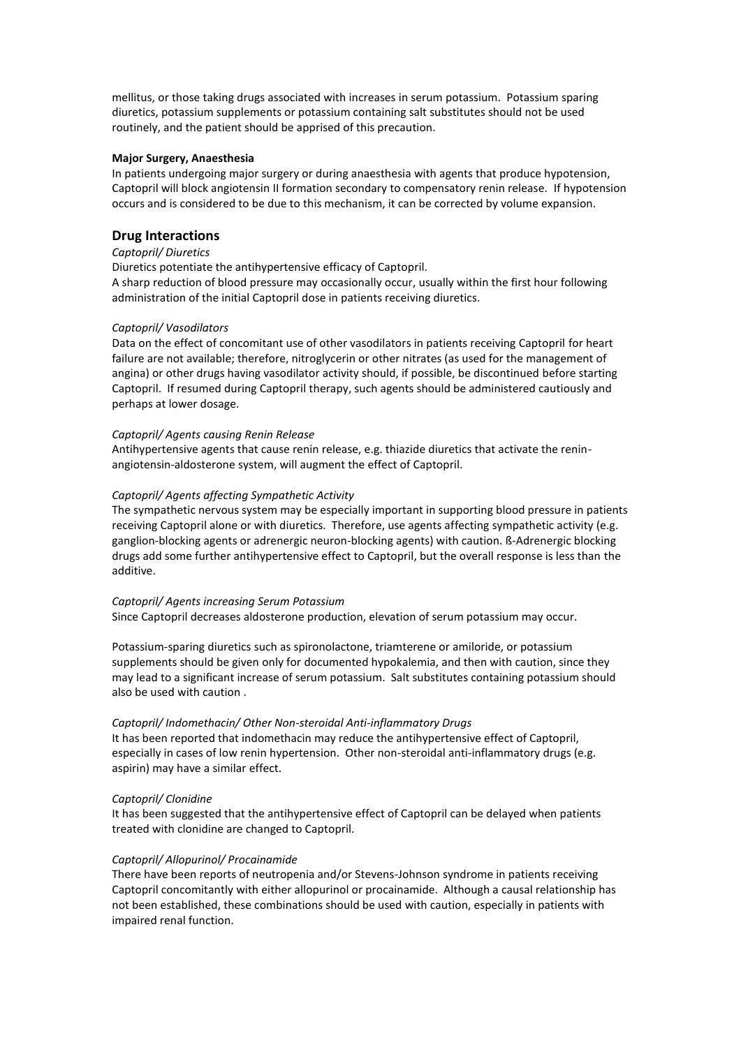mellitus, or those taking drugs associated with increases in serum potassium. Potassium sparing diuretics, potassium supplements or potassium containing salt substitutes should not be used routinely, and the patient should be apprised of this precaution.

### **Major Surgery, Anaesthesia**

In patients undergoing major surgery or during anaesthesia with agents that produce hypotension, Captopril will block angiotensin II formation secondary to compensatory renin release. If hypotension occurs and is considered to be due to this mechanism, it can be corrected by volume expansion.

# **Drug Interactions**

### *Captopril/ Diuretics*

Diuretics potentiate the antihypertensive efficacy of Captopril. A sharp reduction of blood pressure may occasionally occur, usually within the first hour following administration of the initial Captopril dose in patients receiving diuretics.

### *Captopril/ Vasodilators*

Data on the effect of concomitant use of other vasodilators in patients receiving Captopril for heart failure are not available; therefore, nitroglycerin or other nitrates (as used for the management of angina) or other drugs having vasodilator activity should, if possible, be discontinued before starting Captopril. If resumed during Captopril therapy, such agents should be administered cautiously and perhaps at lower dosage.

### *Captopril/ Agents causing Renin Release*

Antihypertensive agents that cause renin release, e.g. thiazide diuretics that activate the reninangiotensin-aldosterone system, will augment the effect of Captopril.

### *Captopril/ Agents affecting Sympathetic Activity*

The sympathetic nervous system may be especially important in supporting blood pressure in patients receiving Captopril alone or with diuretics. Therefore, use agents affecting sympathetic activity (e.g. ganglion-blocking agents or adrenergic neuron-blocking agents) with caution. ß-Adrenergic blocking drugs add some further antihypertensive effect to Captopril, but the overall response is less than the additive.

### *Captopril/ Agents increasing Serum Potassium*

Since Captopril decreases aldosterone production, elevation of serum potassium may occur.

Potassium-sparing diuretics such as spironolactone, triamterene or amiloride, or potassium supplements should be given only for documented hypokalemia, and then with caution, since they may lead to a significant increase of serum potassium. Salt substitutes containing potassium should also be used with caution .

### *Captopril/ Indomethacin/ Other Non-steroidal Anti-inflammatory Drugs*

It has been reported that indomethacin may reduce the antihypertensive effect of Captopril, especially in cases of low renin hypertension. Other non-steroidal anti-inflammatory drugs (e.g. aspirin) may have a similar effect.

### *Captopril/ Clonidine*

It has been suggested that the antihypertensive effect of Captopril can be delayed when patients treated with clonidine are changed to Captopril.

### *Captopril/ Allopurinol/ Procainamide*

There have been reports of neutropenia and/or Stevens-Johnson syndrome in patients receiving Captopril concomitantly with either allopurinol or procainamide. Although a causal relationship has not been established, these combinations should be used with caution, especially in patients with impaired renal function.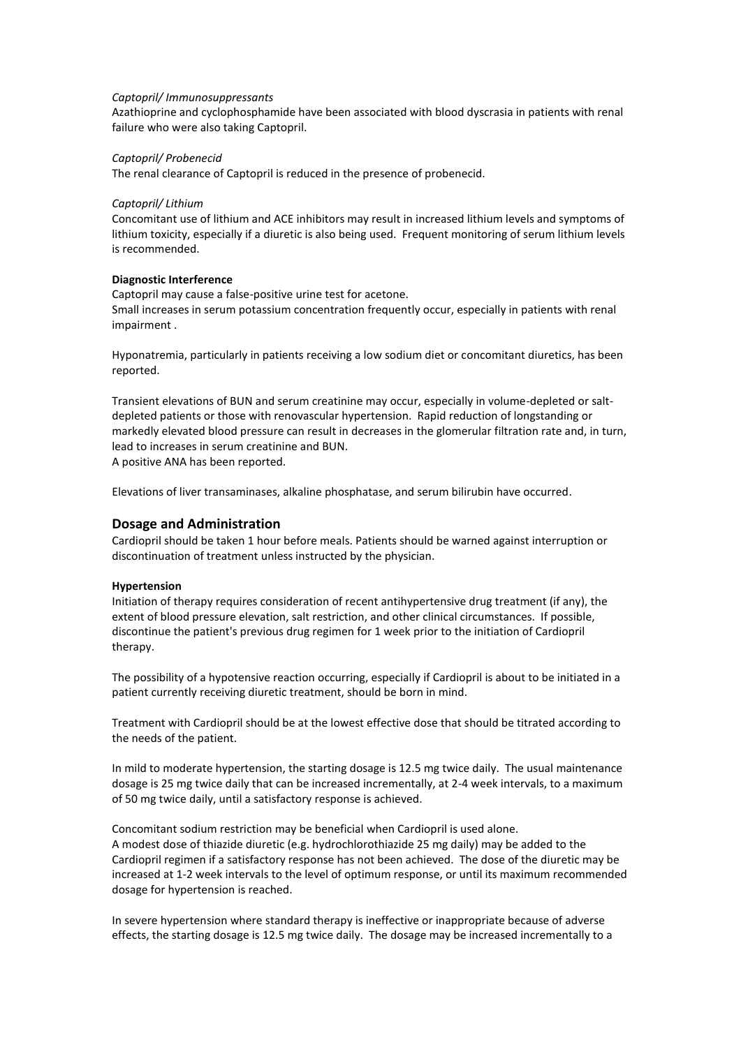#### *Captopril/ Immunosuppressants*

Azathioprine and cyclophosphamide have been associated with blood dyscrasia in patients with renal failure who were also taking Captopril.

### *Captopril/ Probenecid*

The renal clearance of Captopril is reduced in the presence of probenecid.

### *Captopril/ Lithium*

Concomitant use of lithium and ACE inhibitors may result in increased lithium levels and symptoms of lithium toxicity, especially if a diuretic is also being used. Frequent monitoring of serum lithium levels is recommended.

### **Diagnostic Interference**

Captopril may cause a false-positive urine test for acetone. Small increases in serum potassium concentration frequently occur, especially in patients with renal impairment .

Hyponatremia, particularly in patients receiving a low sodium diet or concomitant diuretics, has been reported.

Transient elevations of BUN and serum creatinine may occur, especially in volume-depleted or saltdepleted patients or those with renovascular hypertension. Rapid reduction of longstanding or markedly elevated blood pressure can result in decreases in the glomerular filtration rate and, in turn, lead to increases in serum creatinine and BUN. A positive ANA has been reported.

Elevations of liver transaminases, alkaline phosphatase, and serum bilirubin have occurred.

### **Dosage and Administration**

Cardiopril should be taken 1 hour before meals. Patients should be warned against interruption or discontinuation of treatment unless instructed by the physician.

### **Hypertension**

Initiation of therapy requires consideration of recent antihypertensive drug treatment (if any), the extent of blood pressure elevation, salt restriction, and other clinical circumstances. If possible, discontinue the patient's previous drug regimen for 1 week prior to the initiation of Cardiopril therapy.

The possibility of a hypotensive reaction occurring, especially if Cardiopril is about to be initiated in a patient currently receiving diuretic treatment, should be born in mind.

Treatment with Cardiopril should be at the lowest effective dose that should be titrated according to the needs of the patient.

In mild to moderate hypertension, the starting dosage is 12.5 mg twice daily. The usual maintenance dosage is 25 mg twice daily that can be increased incrementally, at 2-4 week intervals, to a maximum of 50 mg twice daily, until a satisfactory response is achieved.

Concomitant sodium restriction may be beneficial when Cardiopril is used alone. A modest dose of thiazide diuretic (e.g. hydrochlorothiazide 25 mg daily) may be added to the Cardiopril regimen if a satisfactory response has not been achieved. The dose of the diuretic may be increased at 1-2 week intervals to the level of optimum response, or until its maximum recommended dosage for hypertension is reached.

In severe hypertension where standard therapy is ineffective or inappropriate because of adverse effects, the starting dosage is 12.5 mg twice daily. The dosage may be increased incrementally to a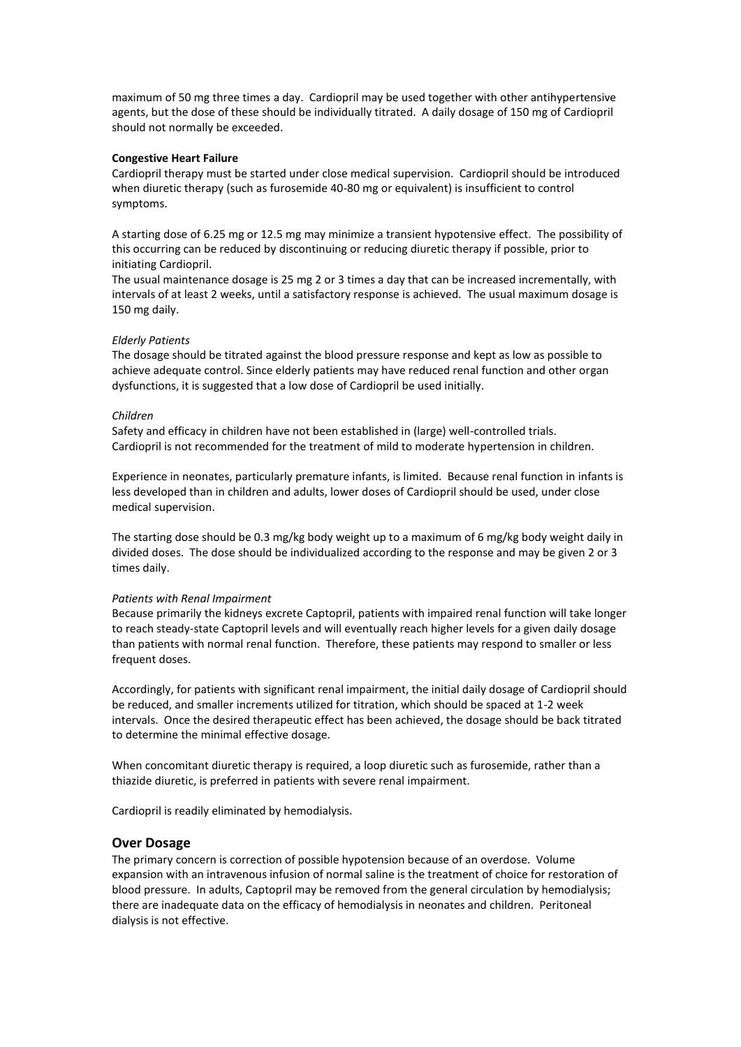maximum of 50 mg three times a day. Cardiopril may be used together with other antihypertensive agents, but the dose of these should be individually titrated. A daily dosage of 150 mg of Cardiopril should not normally be exceeded.

#### **Congestive Heart Failure**

Cardiopril therapy must be started under close medical supervision. Cardiopril should be introduced when diuretic therapy (such as furosemide 40-80 mg or equivalent) is insufficient to control symptoms.

A starting dose of 6.25 mg or 12.5 mg may minimize a transient hypotensive effect. The possibility of this occurring can be reduced by discontinuing or reducing diuretic therapy if possible, prior to initiating Cardiopril.

The usual maintenance dosage is 25 mg 2 or 3 times a day that can be increased incrementally, with intervals of at least 2 weeks, until a satisfactory response is achieved. The usual maximum dosage is 150 mg daily.

### *Elderly Patients*

The dosage should be titrated against the blood pressure response and kept as low as possible to achieve adequate control. Since elderly patients may have reduced renal function and other organ dysfunctions, it is suggested that a low dose of Cardiopril be used initially.

#### *Children*

Safety and efficacy in children have not been established in (large) well-controlled trials. Cardiopril is not recommended for the treatment of mild to moderate hypertension in children.

Experience in neonates, particularly premature infants, is limited. Because renal function in infants is less developed than in children and adults, lower doses of Cardiopril should be used, under close medical supervision.

The starting dose should be 0.3 mg/kg body weight up to a maximum of 6 mg/kg body weight daily in divided doses. The dose should be individualized according to the response and may be given 2 or 3 times daily.

#### *Patients with Renal Impairment*

Because primarily the kidneys excrete Captopril, patients with impaired renal function will take longer to reach steady-state Captopril levels and will eventually reach higher levels for a given daily dosage than patients with normal renal function. Therefore, these patients may respond to smaller or less frequent doses.

Accordingly, for patients with significant renal impairment, the initial daily dosage of Cardiopril should be reduced, and smaller increments utilized for titration, which should be spaced at 1-2 week intervals. Once the desired therapeutic effect has been achieved, the dosage should be back titrated to determine the minimal effective dosage.

When concomitant diuretic therapy is required, a loop diuretic such as furosemide, rather than a thiazide diuretic, is preferred in patients with severe renal impairment.

Cardiopril is readily eliminated by hemodialysis.

### **Over Dosage**

The primary concern is correction of possible hypotension because of an overdose. Volume expansion with an intravenous infusion of normal saline is the treatment of choice for restoration of blood pressure. In adults, Captopril may be removed from the general circulation by hemodialysis; there are inadequate data on the efficacy of hemodialysis in neonates and children. Peritoneal dialysis is not effective.